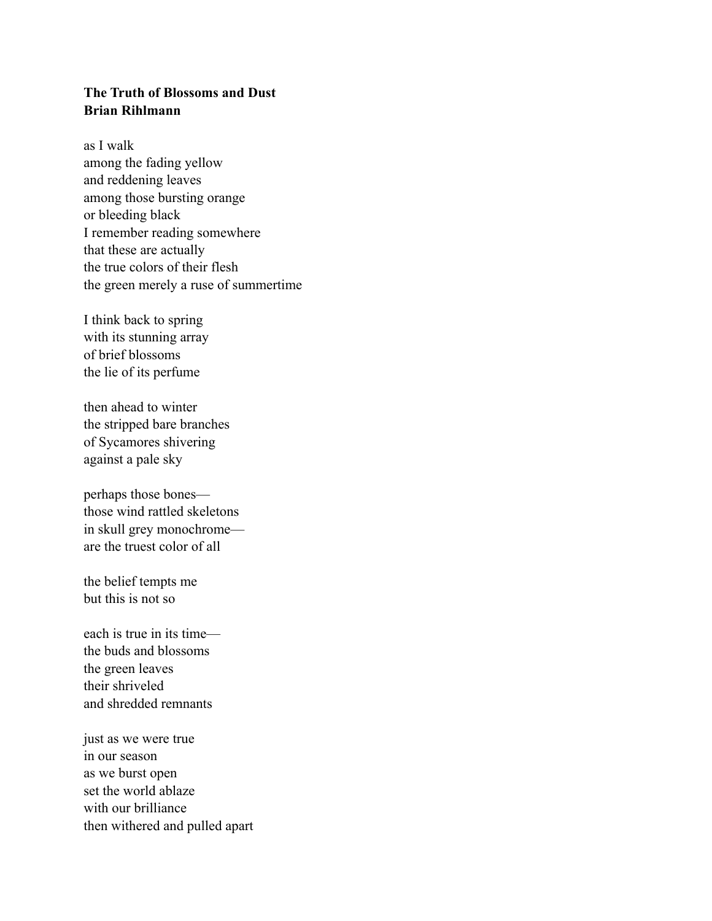## **The Truth of Blossoms and Dust Brian Rihlmann**

as I walk among the fading yellow and reddening leaves among those bursting orange or bleeding black I remember reading somewhere that these are actually the true colors of their flesh the green merely a ruse of summertime

I think back to spring with its stunning array of brief blossoms the lie of its perfume

then ahead to winter the stripped bare branches of Sycamores shivering against a pale sky

perhaps those bones those wind rattled skeletons in skull grey monochrome are the truest color of all

the belief tempts me but this is not so

each is true in its time the buds and blossoms the green leaves their shriveled and shredded remnants

just as we were true in our season as we burst open set the world ablaze with our brilliance then withered and pulled apart